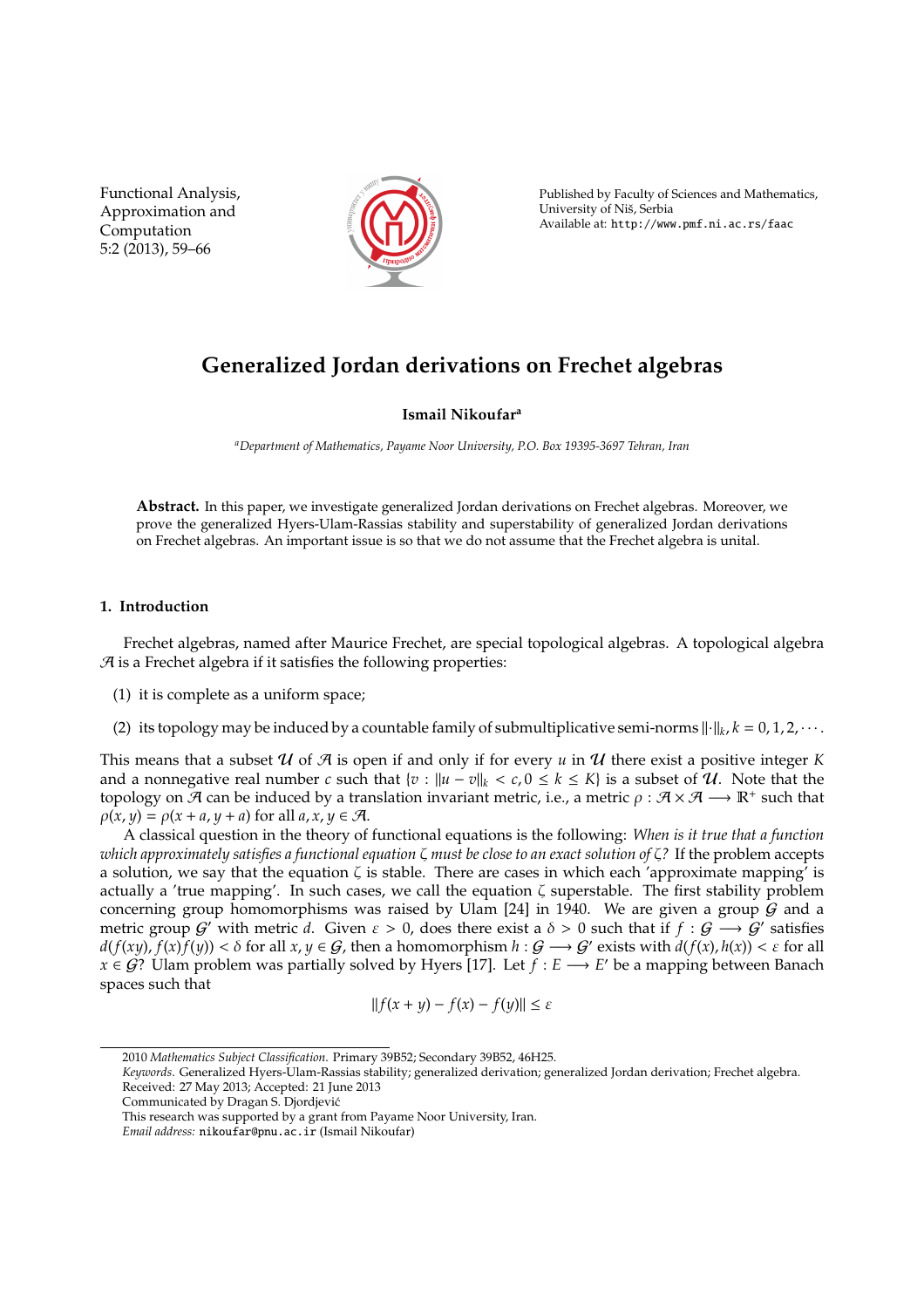Functional Analysis, Approximation and Computation 5:2 (2013), 59–66



Published by Faculty of Sciences and Mathematics, University of Nis, Serbia ˇ Available at: http://www.pmf.ni.ac.rs/faac

# **Generalized Jordan derivations on Frechet algebras**

**Ismail Nikoufar<sup>a</sup>**

*<sup>a</sup>Department of Mathematics, Payame Noor University, P.O. Box 19395-3697 Tehran, Iran*

**Abstract.** In this paper, we investigate generalized Jordan derivations on Frechet algebras. Moreover, we prove the generalized Hyers-Ulam-Rassias stability and superstability of generalized Jordan derivations on Frechet algebras. An important issue is so that we do not assume that the Frechet algebra is unital.

# **1. Introduction**

Frechet algebras, named after Maurice Frechet, are special topological algebras. A topological algebra  $A$  is a Frechet algebra if it satisfies the following properties:

- (1) it is complete as a uniform space;
- (2) its topology may be induced by a countable family of submultiplicative semi-norms  $\|\cdot\|_k$ ,  $k = 0, 1, 2, \cdots$ .

This means that a subset U of A is open if and only if for every  $u$  in U there exist a positive integer K and a nonnegative real number *c* such that  $\{v : ||u - v||_k < c, 0 \le k \le K\}$  is a subset of U. Note that the topology on  $\mathcal A$  can be induced by a translation invariant metric, i.e., a metric  $\rho: \mathcal A \times \mathcal A \longrightarrow \mathbb R^+$  such that  $\rho(x, y) = \rho(x + a, y + a)$  for all  $a, x, y \in \mathcal{A}$ .

A classical question in the theory of functional equations is the following: *When is it true that a function which approximately satisfies a functional equation* ζ *must be close to an exact solution of* ζ*?* If the problem accepts a solution, we say that the equation  $\zeta$  is stable. There are cases in which each 'approximate mapping' is actually a 'true mapping'. In such cases, we call the equation ζ superstable. The first stability problem concerning group homomorphisms was raised by Ulam [24] in 1940. We are given a group  $\tilde{G}$  and a metric group  $G'$  with metric d. Given  $\varepsilon > 0$ , does there exist a  $\delta > 0$  such that if  $f : G \longrightarrow G'$  satisfies  $d(f(xy), f(x)f(y)) < \delta$  for all  $x, y \in G$ , then a homomorphism  $h: G \longrightarrow G'$  exists with  $d(f(x), h(x)) < \varepsilon$  for all *x* ∈ *G*? Ulam problem was partially solved by Hyers [17]. Let  $f : E \longrightarrow E'$  be a mapping between Banach spaces such that

$$
||f(x + y) - f(x) - f(y)|| \le \varepsilon
$$

<sup>2010</sup> *Mathematics Subject Classification*. Primary 39B52; Secondary 39B52, 46H25.

*Keywords*. Generalized Hyers-Ulam-Rassias stability; generalized derivation; generalized Jordan derivation; Frechet algebra. Received: 27 May 2013; Accepted: 21 June 2013

Communicated by Dragan S. Djordjevic´

This research was supported by a grant from Payame Noor University, Iran.

*Email address:* nikoufar@pnu.ac.ir (Ismail Nikoufar)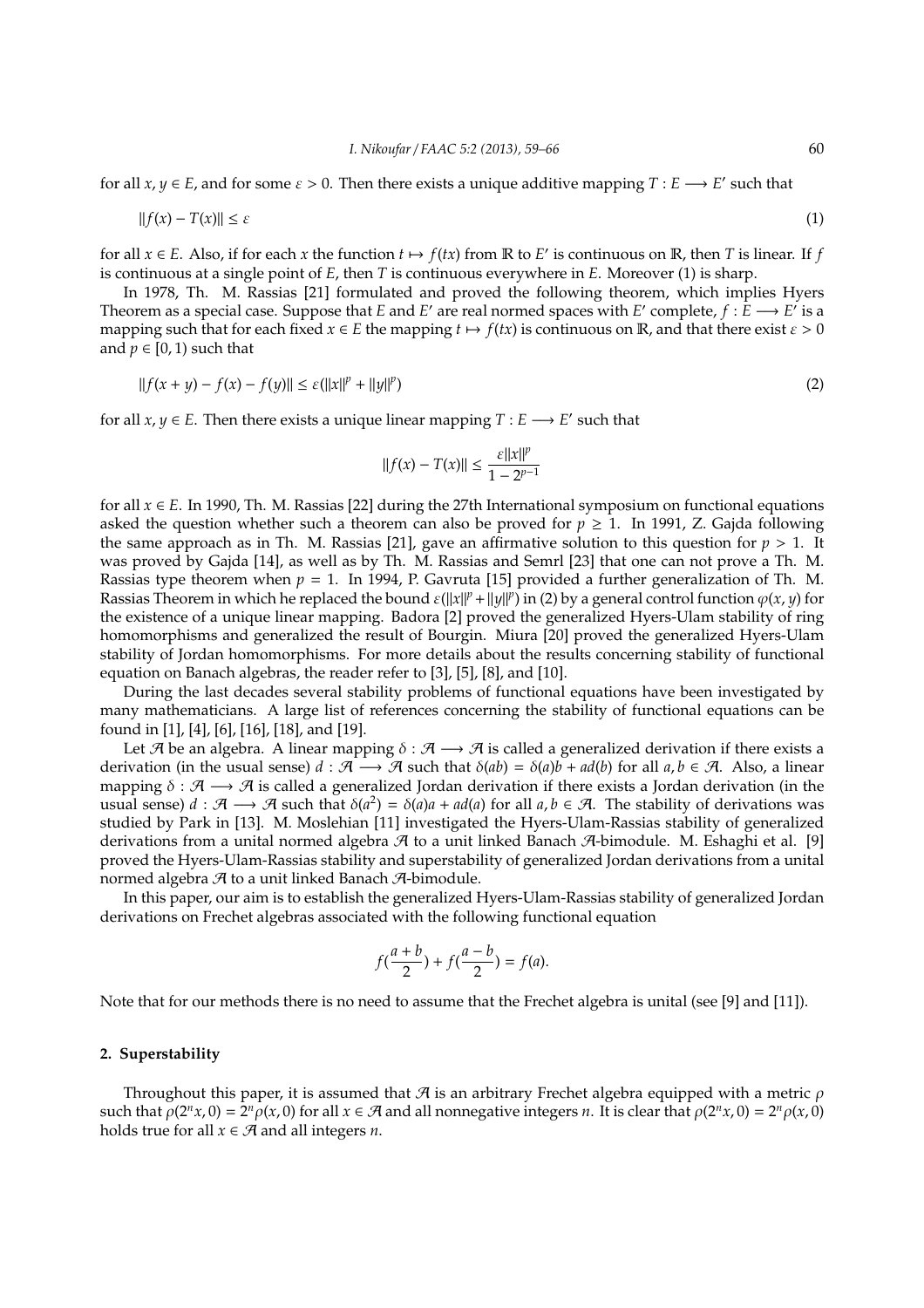for all  $x, y \in E$ , and for some  $\varepsilon > 0$ . Then there exists a unique additive mapping  $T : E \longrightarrow E'$  such that

$$
||f(x) - T(x)|| \le \varepsilon \tag{1}
$$

for all  $x \in E$ . Also, if for each  $x$  the function  $t \mapsto f(tx)$  from  $\mathbb R$  to  $E'$  is continuous on  $\mathbb R$ , then  $T$  is linear. If  $f$ is continuous at a single point of *E*, then *T* is continuous everywhere in *E*. Moreover (1) is sharp.

In 1978, Th. M. Rassias [21] formulated and proved the following theorem, which implies Hyers Theorem as a special case. Suppose that *E* and *E*' are real normed spaces with *E*' complete,  $f : E \longrightarrow E'$  is a mapping such that for each fixed  $x \in E$  the mapping  $t \mapsto f(tx)$  is continuous on R, and that there exist  $\varepsilon > 0$ and  $p \in [0, 1)$  such that

$$
||f(x + y) - f(x) - f(y)|| \le \varepsilon (||x||^p + ||y||^p)
$$
\n(2)

for all  $x, y \in E$ . Then there exists a unique linear mapping  $T : E \longrightarrow E'$  such that

$$
||f(x) - T(x)|| \le \frac{\varepsilon ||x||^p}{1 - 2^{p-1}}
$$

for all  $x \in E$ . In 1990, Th. M. Rassias [22] during the 27th International symposium on functional equations asked the question whether such a theorem can also be proved for  $p \ge 1$ . In 1991, Z. Gajda following the same approach as in Th. M. Rassias [21], gave an affirmative solution to this question for  $p > 1$ . It was proved by Gajda [14], as well as by Th. M. Rassias and Semrl [23] that one can not prove a Th. M. Rassias type theorem when *p* = 1. In 1994, P. Gavruta [15] provided a further generalization of Th. M. Rassias Theorem in which he replaced the bound  $\varepsilon(||x||^p + ||y||^p)$  in (2) by a general control function  $\varphi(x, y)$  for the existence of a unique linear mapping. Badora [2] proved the generalized Hyers-Ulam stability of ring homomorphisms and generalized the result of Bourgin. Miura [20] proved the generalized Hyers-Ulam stability of Jordan homomorphisms. For more details about the results concerning stability of functional equation on Banach algebras, the reader refer to [3], [5], [8], and [10].

During the last decades several stability problems of functional equations have been investigated by many mathematicians. A large list of references concerning the stability of functional equations can be found in [1], [4], [6], [16], [18], and [19].

Let A be an algebra. A linear mapping  $\delta : \mathcal{A} \longrightarrow \mathcal{A}$  is called a generalized derivation if there exists a derivation (in the usual sense)  $d : \mathcal{A} \longrightarrow \mathcal{A}$  such that  $\delta(ab) = \delta(a)b + ad(b)$  for all  $a, b \in \mathcal{A}$ . Also, a linear mapping  $\delta : \mathcal{A} \longrightarrow \mathcal{A}$  is called a generalized Jordan derivation if there exists a Jordan derivation (in the usual sense)  $d : \mathcal{A} \longrightarrow \mathcal{A}$  such that  $\delta(a^2) = \delta(a)a + ad(a)$  for all  $a, b \in \mathcal{A}$ . The stability of derivations was studied by Park in [13]. M. Moslehian [11] investigated the Hyers-Ulam-Rassias stability of generalized derivations from a unital normed algebra  $A$  to a unit linked Banach  $A$ -bimodule. M. Eshaghi et al. [9] proved the Hyers-Ulam-Rassias stability and superstability of generalized Jordan derivations from a unital normed algebra  $\mathcal A$  to a unit linked Banach  $\mathcal A$ -bimodule.

In this paper, our aim is to establish the generalized Hyers-Ulam-Rassias stability of generalized Jordan derivations on Frechet algebras associated with the following functional equation

$$
f(\frac{a+b}{2}) + f(\frac{a-b}{2}) = f(a).
$$

Note that for our methods there is no need to assume that the Frechet algebra is unital (see [9] and [11]).

#### **2. Superstability**

Throughout this paper, it is assumed that  $\mathcal A$  is an arbitrary Frechet algebra equipped with a metric  $\rho$ such that  $\rho(2^n x, 0) = 2^n \rho(x, 0)$  for all  $x \in \mathcal{A}$  and all nonnegative integers *n*. It is clear that  $\rho(2^n x, 0) = 2^n \rho(x, 0)$ holds true for all  $x \in \mathcal{A}$  and all integers *n*.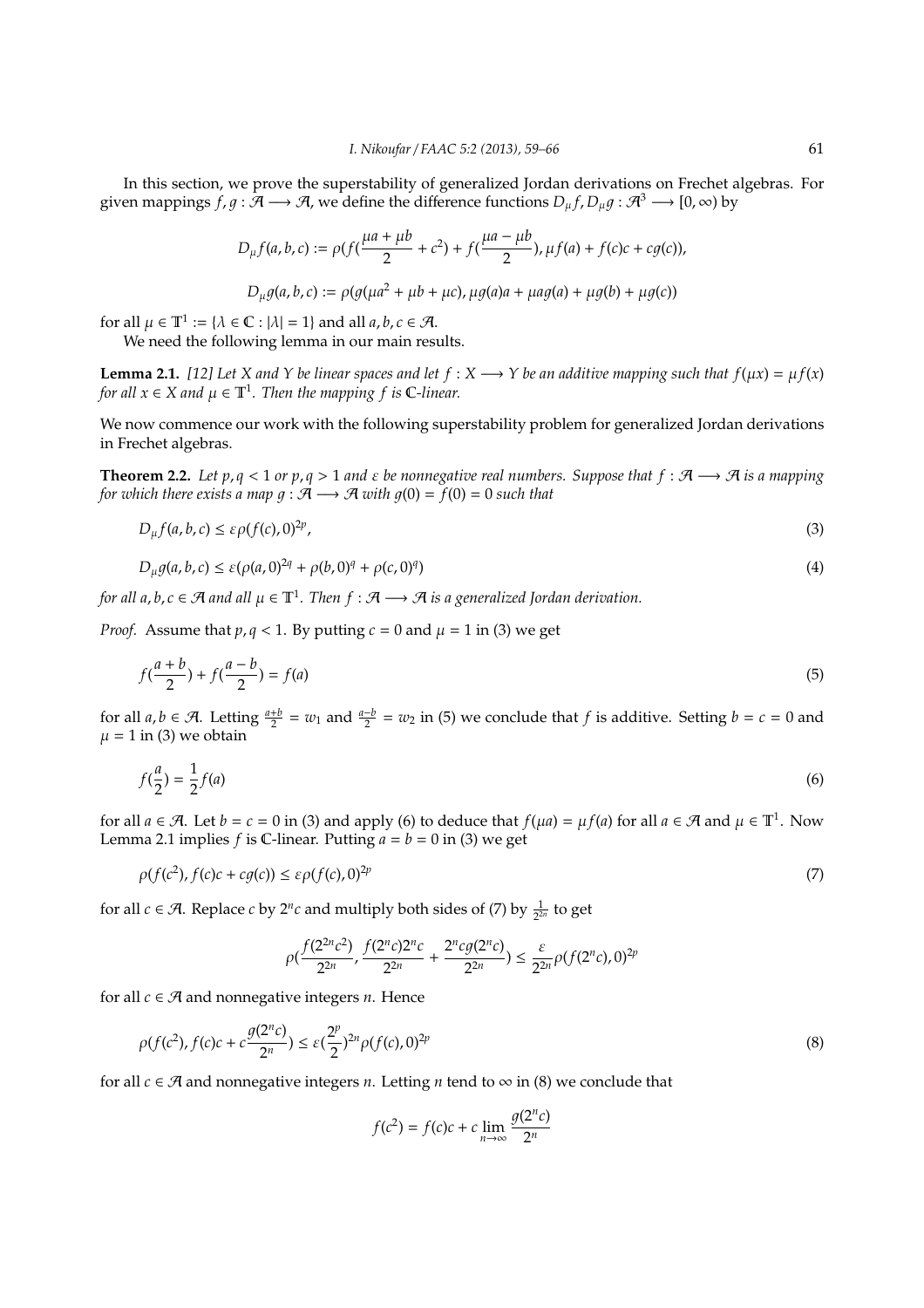In this section, we prove the superstability of generalized Jordan derivations on Frechet algebras. For given mappings  $f, g : \mathcal{A} \longrightarrow \mathcal{A}$ , we define the difference functions  $D_{\mu} f, D_{\mu} g : \mathcal{A}^3 \longrightarrow [0, \infty)$  by

$$
D_{\mu}f(a,b,c) := \rho(f(\frac{\mu a + \mu b}{2} + c^2) + f(\frac{\mu a - \mu b}{2}), \mu f(a) + f(c)c + cg(c)),
$$

 $D_{\mu}g(a,b,c) := \rho(g(\mu a^2 + \mu b + \mu c), \mu g(a)a + \mu a g(a) + \mu g(b) + \mu g(c))$ 

for all  $\mu \in \mathbb{T}^1 := {\lambda \in \mathbb{C} : |\lambda| = 1}$  and all  $a, b, c \in \mathcal{A}$ .

We need the following lemma in our main results.

**Lemma 2.1.** [12] Let *X* and *Y* be linear spaces and let  $f : X \rightarrow Y$  be an additive mapping such that  $f(\mu x) = \mu f(x)$ *for all*  $x \in X$  *and*  $\mu \in \mathbb{T}^1$ . Then the mapping f is **C**-linear.

We now commence our work with the following superstability problem for generalized Jordan derivations in Frechet algebras.

**Theorem 2.2.** Let  $p, q < 1$  or  $p, q > 1$  and  $\varepsilon$  be nonnegative real numbers. Suppose that  $f : \mathcal{A} \longrightarrow \mathcal{A}$  is a mapping *for which there exists a map*  $q : \mathcal{A} \longrightarrow \mathcal{A}$  *with*  $q(0) = f(0) = 0$  *such that* 

$$
D_{\mu}f(a,b,c) \leq \varepsilon \rho(f(c),0)^{2p},\tag{3}
$$

$$
D_{\mu}g(a,b,c) \leq \varepsilon (\rho(a,0)^{2q} + \rho(b,0)^q + \rho(c,0)^q)
$$
\n(4)

*for all a, b, c* ∈ A and all  $\mu$  ∈  $\mathbb{T}^1$ . Then  $f : \mathcal{A} \longrightarrow \mathcal{A}$  is a generalized Jordan derivation.

*Proof.* Assume that  $p, q < 1$ . By putting  $c = 0$  and  $\mu = 1$  in (3) we get

$$
f(\frac{a+b}{2}) + f(\frac{a-b}{2}) = f(a)
$$
\n(5)

for all  $a, b \in \mathcal{A}$ . Letting  $\frac{a+b}{2} = w_1$  and  $\frac{a-b}{2} = w_2$  in (5) we conclude that *f* is additive. Setting  $b = c = 0$  and  $\mu = 1$  in (3) we obtain

$$
f(\frac{a}{2}) = \frac{1}{2}f(a)
$$
 (6)

for all  $a \in \mathcal{A}$ . Let  $b = c = 0$  in (3) and apply (6) to deduce that  $f(\mu a) = \mu f(a)$  for all  $a \in \mathcal{A}$  and  $\mu \in \mathbb{T}^1$ . Now Lemma 2.1 implies  $f$  is C-linear. Putting  $a = b = 0$  in (3) we get

$$
\rho(f(c^2), f(c)c + cg(c)) \leq \varepsilon \rho(f(c), 0)^{2p} \tag{7}
$$

for all  $c \in \mathcal{A}$ . Replace  $c$  by  $2^n c$  and multiply both sides of (7) by  $\frac{1}{2^{2n}}$  to get

$$
\rho\left(\frac{f(2^{2n}c^2)}{2^{2n}}, \frac{f(2^n c)2^n c}{2^{2n}} + \frac{2^n c g(2^n c)}{2^{2n}}\right) \le \frac{\varepsilon}{2^{2n}} \rho\left(f(2^n c), 0\right)^{2p}
$$

for all  $c \in \mathcal{A}$  and nonnegative integers *n*. Hence

$$
\rho(f(c^2), f(c)c + c\frac{g(2^n c)}{2^n}) \le \varepsilon(\frac{2^p}{2})^{2n} \rho(f(c), 0)^{2p}
$$
\n(8)

for all  $c \in \mathcal{A}$  and nonnegative integers *n*. Letting *n* tend to  $\infty$  in (8) we conclude that

$$
f(c^2) = f(c)c + c \lim_{n \to \infty} \frac{g(2^n c)}{2^n}
$$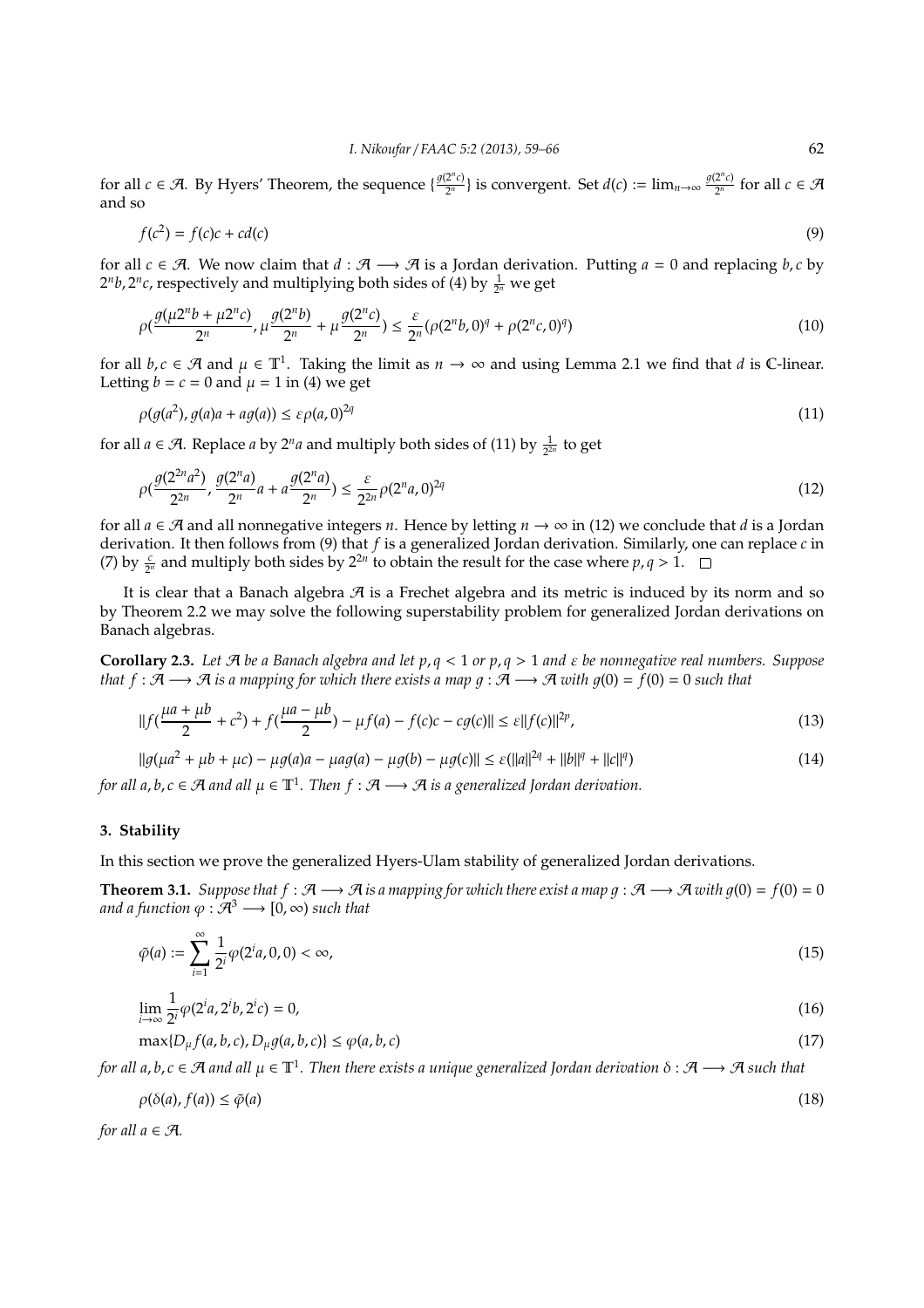for all *c*  $\in$  *A*. By Hyers' Theorem, the sequence  $\left\{ \frac{g(2^n c)}{2^n} \right\}$  $\frac{2^{n}c}{2^{n}}$  is convergent. Set  $d(c) := \lim_{n \to \infty} \frac{g(2^{n}c)}{2^{n}}$  $\frac{Z^{n}C}{2^{n}}$  for all  $c \in \mathcal{A}$ and so

$$
f(c^2) = f(c)c + cd(c)
$$
\n(9)

for all *c* ∈ A. We now claim that *d* :  $A \rightarrow A$  is a Jordan derivation. Putting *a* = 0 and replacing *b*, *c* by  $2^n b$ ,  $2^n c$ , respectively and multiplying both sides of (4) by  $\frac{1}{2^n}$  we get

$$
\rho\left(\frac{g(\mu 2^n b + \mu 2^n c)}{2^n}, \mu \frac{g(2^n b)}{2^n} + \mu \frac{g(2^n c)}{2^n}\right) \le \frac{\varepsilon}{2^n} (\rho(2^n b, 0)^q + \rho(2^n c, 0)^q)
$$
\n(10)

for all  $b, c \in \mathcal{A}$  and  $\mu \in \mathbb{T}^1$ . Taking the limit as  $n \to \infty$  and using Lemma 2.1 we find that *d* is C-linear. Letting  $b = c = 0$  and  $\mu = 1$  in (4) we get

$$
\rho(g(a^2), g(a)a + ag(a)) \leq \varepsilon \rho(a, 0)^{2q} \tag{11}
$$

for all  $a \in \mathcal{A}$ . Replace  $a$  by  $2^n a$  and multiply both sides of (11) by  $\frac{1}{2^{2n}}$  to get

$$
\rho\left(\frac{g(2^{2n}a^2)}{2^{2n}}, \frac{g(2^n a)}{2^n}a + a\frac{g(2^n a)}{2^n}\right) \le \frac{\varepsilon}{2^{2n}}\rho(2^n a, 0)^{2q}
$$
\n(12)

for all  $a \in \mathcal{A}$  and all nonnegative integers *n*. Hence by letting  $n \to \infty$  in (12) we conclude that *d* is a Jordan derivation. It then follows from (9) that *f* is a generalized Jordan derivation. Similarly, one can replace *c* in (7) by  $\frac{c}{2^n}$  and multiply both sides by  $2^{2n}$  to obtain the result for the case where  $p, q > 1$ .

It is clear that a Banach algebra  $\mathcal A$  is a Frechet algebra and its metric is induced by its norm and so by Theorem 2.2 we may solve the following superstability problem for generalized Jordan derivations on Banach algebras.

**Corollary 2.3.** *Let* A *be a Banach algebra and let p*, *q* < 1 *or p*, *q* > 1 *and* ε *be nonnegative real numbers. Suppose that*  $f : \mathcal{A} \longrightarrow \mathcal{A}$  *is a mapping for which there exists a map*  $g : \mathcal{A} \longrightarrow \mathcal{A}$  *with*  $g(0) = f(0) = 0$  *such that* 

$$
||f(\frac{\mu a + \mu b}{2} + c^2) + f(\frac{\mu a - \mu b}{2}) - \mu f(a) - f(c)c - cg(c)|| \le \varepsilon ||f(c)||^{2p},
$$
\n(13)

$$
||g(\mu a^2 + \mu b + \mu c) - \mu g(a)a - \mu a g(a) - \mu g(b) - \mu g(c)|| \le \varepsilon (||a||^{2q} + ||b||^{q} + ||c||^{q})
$$
\n(14)

*for all a, b, c*  $\in$   $\mathcal{A}$  *and all*  $\mu \in \mathbb{T}^1$ *. Then f* :  $\mathcal{A} \longrightarrow \mathcal{A}$  *is a generalized Jordan derivation.* 

### **3. Stability**

In this section we prove the generalized Hyers-Ulam stability of generalized Jordan derivations.

**Theorem 3.1.** *Suppose that*  $f : \mathcal{A} \longrightarrow \mathcal{A}$  *is a mapping for which there exist a map*  $g : \mathcal{A} \longrightarrow \mathcal{A}$  *with*  $g(0) = f(0) = 0$ *and a function*  $\varphi : \mathcal{A}^3 \longrightarrow [0, \infty)$  *such that* 

$$
\tilde{\varphi}(a) := \sum_{i=1}^{\infty} \frac{1}{2^i} \varphi(2^i a, 0, 0) < \infty,\tag{15}
$$

$$
\lim_{i \to \infty} \frac{1}{2^i} \varphi(2^i a, 2^i b, 2^i c) = 0,
$$
\n(16)

$$
\max\{D_{\mu}f(a,b,c), D_{\mu}g(a,b,c)\}\leq \varphi(a,b,c) \tag{17}
$$

*for all a*, *b*, *c* ∈ A *and all* µ ∈ T<sup>1</sup> *. Then there exists a unique generalized Jordan derivation* δ : A −→ A *such that*

$$
\rho(\delta(a), f(a)) \le \tilde{\varphi}(a) \tag{18}
$$

*for all*  $a \in \mathcal{A}$ *.*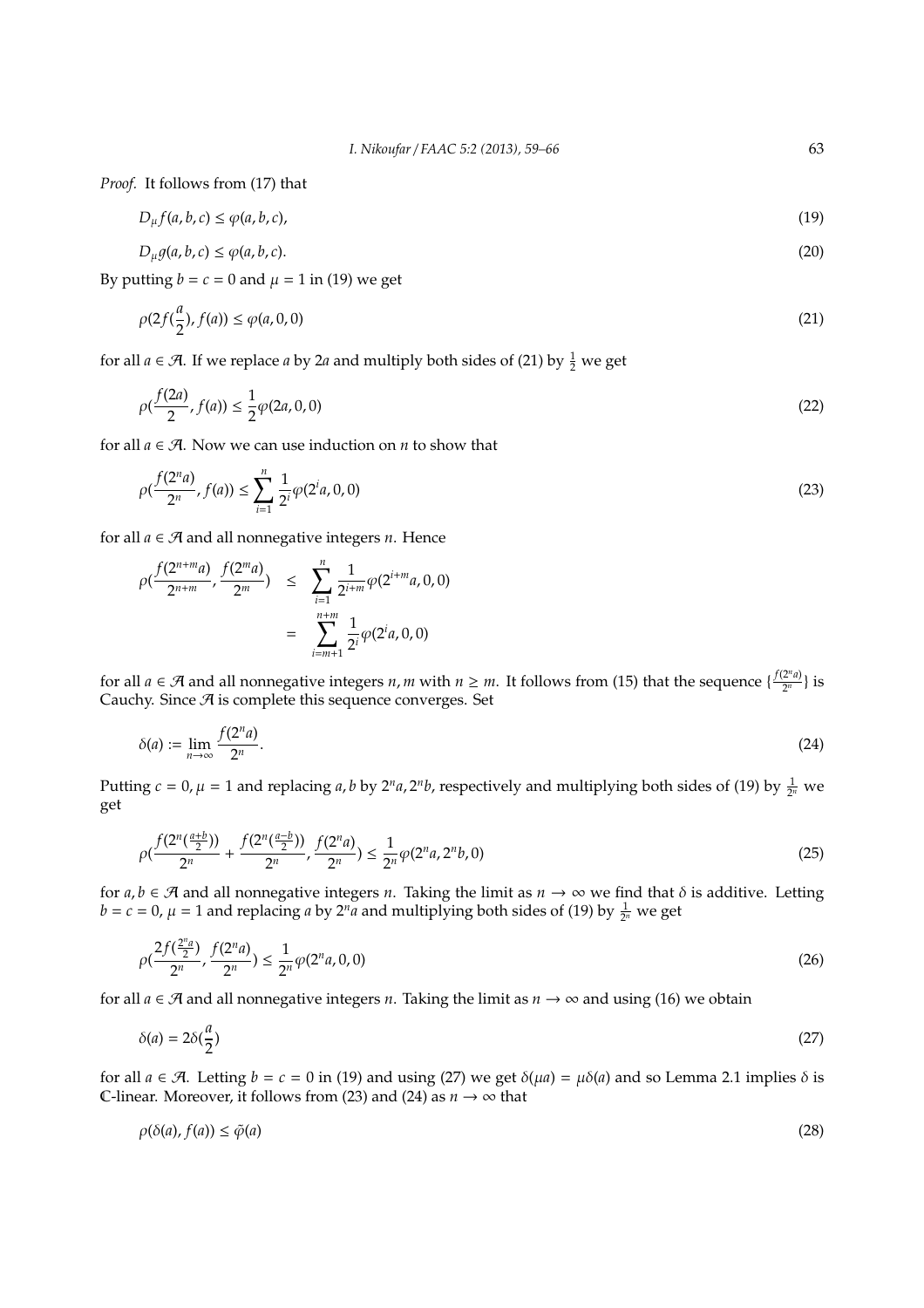*Proof.* It follows from (17) that

$$
D_{\mu}f(a,b,c) \le \varphi(a,b,c),\tag{19}
$$

$$
D_{\mu}g(a,b,c) \le \varphi(a,b,c). \tag{20}
$$

By putting  $b = c = 0$  and  $\mu = 1$  in (19) we get

$$
\rho(2f(\frac{a}{2}), f(a)) \le \varphi(a, 0, 0) \tag{21}
$$

for all  $a \in \mathcal{A}$ . If we replace  $a$  by 2 $a$  and multiply both sides of (21) by  $\frac{1}{2}$  we get

$$
\rho(\frac{f(2a)}{2}, f(a)) \le \frac{1}{2}\varphi(2a, 0, 0) \tag{22}
$$

for all  $a \in \mathcal{A}$ . Now we can use induction on *n* to show that

$$
\rho(\frac{f(2^n a)}{2^n}, f(a)) \le \sum_{i=1}^n \frac{1}{2^i} \varphi(2^i a, 0, 0) \tag{23}
$$

for all  $a \in \mathcal{A}$  and all nonnegative integers *n*. Hence

$$
\rho(\frac{f(2^{n+m}a)}{2^{n+m}}, \frac{f(2^ma)}{2^m}) \leq \sum_{i=1}^n \frac{1}{2^{i+m}} \varphi(2^{i+m}a, 0, 0)
$$

$$
= \sum_{i=m+1}^{n+m} \frac{1}{2^i} \varphi(2^i a, 0, 0)
$$

for all  $a \in \mathcal{A}$  and all nonnegative integers *n*, *m* with  $n \geq m$ . It follows from (15) that the sequence  $\{\frac{f(2^n a)}{2^n}\}$  $\frac{2^{n}u}{2^{n}}$  is Cauchy. Since  $A$  is complete this sequence converges. Set

$$
\delta(a) := \lim_{n \to \infty} \frac{f(2^n a)}{2^n}.
$$
\n(24)

Putting  $c = 0$ ,  $\mu = 1$  and replacing *a*, *b* by  $2^n a$ ,  $2^n b$ , respectively and multiplying both sides of (19) by  $\frac{1}{2^n}$  we get

$$
\rho\left(\frac{f(2^n(\frac{a+b}{2}))}{2^n} + \frac{f(2^n(\frac{a-b}{2}))}{2^n}, \frac{f(2^n a)}{2^n}\right) \le \frac{1}{2^n} \varphi(2^n a, 2^n b, 0) \tag{25}
$$

for  $a, b \in \mathcal{A}$  and all nonnegative integers *n*. Taking the limit as  $n \to \infty$  we find that  $\delta$  is additive. Letting  $b = c = 0$ ,  $\mu = 1$  and replacing *a* by  $2^n a$  and multiplying both sides of (19) by  $\frac{1}{2^n}$  we get

$$
\rho\left(\frac{2f(\frac{2^n a}{2})}{2^n}, \frac{f(2^n a)}{2^n}\right) \le \frac{1}{2^n} \varphi(2^n a, 0, 0) \tag{26}
$$

for all  $a \in \mathcal{A}$  and all nonnegative integers *n*. Taking the limit as  $n \to \infty$  and using (16) we obtain

$$
\delta(a) = 2\delta(\frac{a}{2})\tag{27}
$$

for all  $a \in \mathcal{A}$ . Letting  $b = c = 0$  in (19) and using (27) we get  $\delta(\mu a) = \mu \delta(a)$  and so Lemma 2.1 implies  $\delta$  is C-linear. Moreover, it follows from (23) and (24) as  $n \to \infty$  that

$$
\rho(\delta(a), f(a)) \le \tilde{\varphi}(a) \tag{28}
$$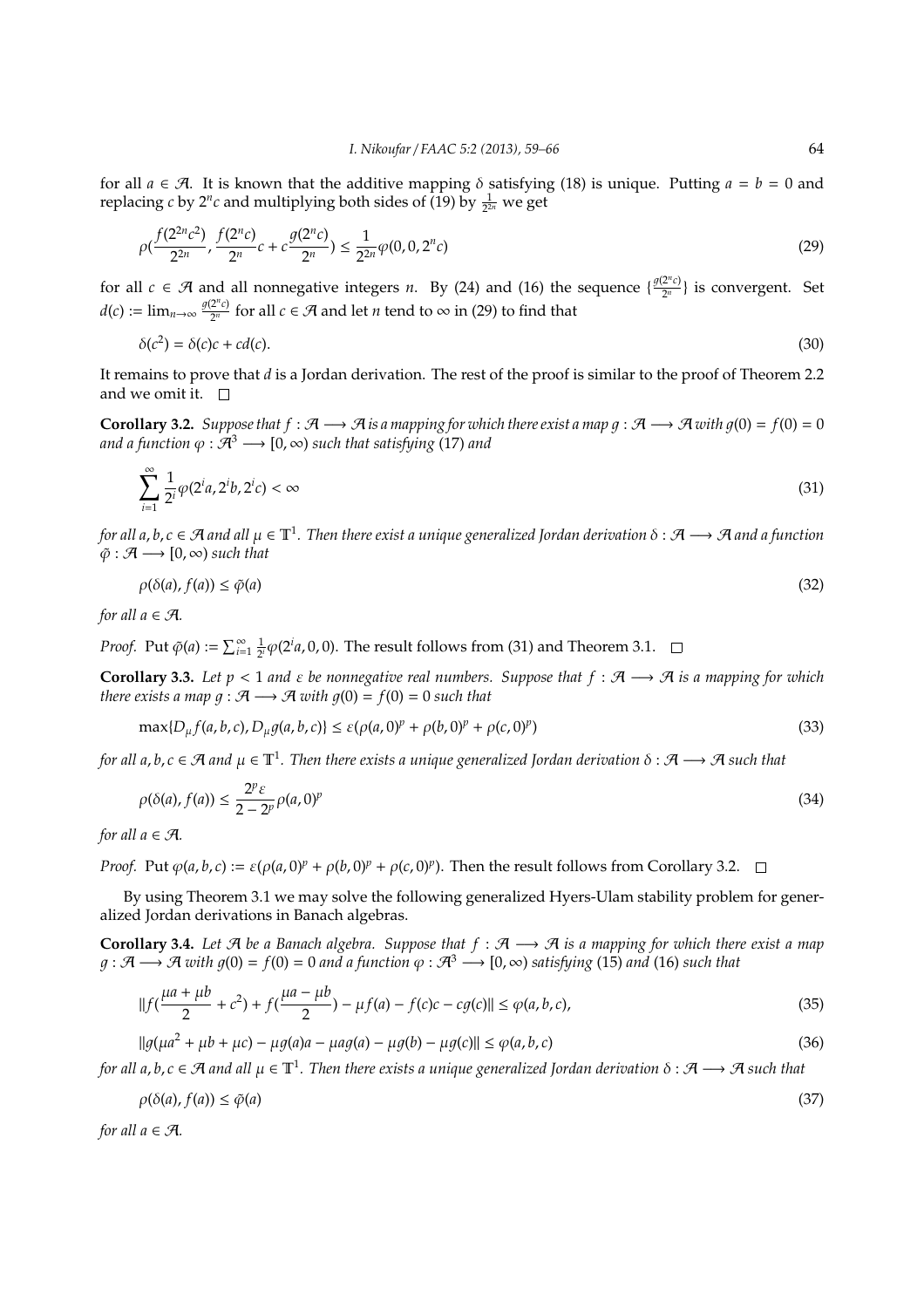for all  $a \in \mathcal{A}$ . It is known that the additive mapping  $\delta$  satisfying (18) is unique. Putting  $a = b = 0$  and replacing *c* by 2<sup>*n*</sup>*c* and multiplying both sides of (19) by  $\frac{1}{2^{2n}}$  we get

$$
\rho\left(\frac{f(2^{2n}c^2)}{2^{2n}}, \frac{f(2^n c)}{2^n}c + c\frac{g(2^n c)}{2^n}\right) \le \frac{1}{2^{2n}}\varphi(0, 0, 2^n c)
$$
\n(29)

for all  $c \in \mathcal{A}$  and all nonnegative integers *n*. By (24) and (16) the sequence  $\{\frac{g(2^n c)}{2^n}\}$  $\frac{2^{n}c}{2^{n}}$  is convergent. Set  $d(c) := \lim_{n \to \infty} \frac{g(2^n c)}{2^n}$  $\frac{2^{n}C}{2^{n}}$  for all *c* ∈  $\mathcal{A}$  and let *n* tend to ∞ in (29) to find that

$$
\delta(c^2) = \delta(c)c + cd(c). \tag{30}
$$

It remains to prove that *d* is a Jordan derivation. The rest of the proof is similar to the proof of Theorem 2.2 and we omit it.  $\Box$ 

**Corollary 3.2.** *Suppose that*  $f : \mathcal{A} \longrightarrow \mathcal{A}$  *is a mapping for which there exist a map*  $g : \mathcal{A} \longrightarrow \mathcal{A}$  *with*  $g(0) = f(0) = 0$ *and a function*  $\varphi : \mathcal{A}^3 \longrightarrow [0, \infty)$  *such that satisfying* (17) *and* 

$$
\sum_{i=1}^{\infty} \frac{1}{2^i} \varphi(2^i a, 2^i b, 2^i c) < \infty \tag{31}
$$

*for all a*, *b*, *c* ∈ A *and all* µ ∈ T<sup>1</sup> *. Then there exist a unique generalized Jordan derivation* δ : A −→ A *and a function*  $\tilde{\varphi}: \mathcal{A} \longrightarrow [0, \infty)$  *such that* 

$$
\rho(\delta(a), f(a)) \le \tilde{\varphi}(a) \tag{32}
$$

*for all*  $a \in \mathcal{A}$ *.* 

*Proof.* Put  $\tilde{\varphi}(a) := \sum_{i=1}^{\infty} \frac{1}{2^i} \varphi(2^i a, 0, 0)$ . The result follows from (31) and Theorem 3.1.

**Corollary 3.3.** Let  $p < 1$  and  $\varepsilon$  be nonnegative real numbers. Suppose that  $f : \mathcal{A} \longrightarrow \mathcal{A}$  is a mapping for which *there exists a map*  $g : \mathcal{A} \longrightarrow \mathcal{A}$  *with*  $g(0) = f(0) = 0$  *such that* 

$$
\max\{D_{\mu}f(a,b,c), D_{\mu}g(a,b,c)\}\leq \varepsilon(\rho(a,0)^p+\rho(b,0)^p+\rho(c,0)^p)
$$
\n(33)

*for all a*, *b*, *c* ∈ A *and* µ ∈ T<sup>1</sup> *. Then there exists a unique generalized Jordan derivation* δ : A −→ A *such that*

$$
\rho(\delta(a), f(a)) \le \frac{2^p \varepsilon}{2 - 2^p} \rho(a, 0)^p \tag{34}
$$

*for all*  $a \in \mathcal{A}$ *.* 

*Proof.* Put  $\varphi(a, b, c) := \varepsilon(\rho(a, 0)^p + \rho(b, 0)^p + \rho(c, 0)^p$ . Then the result follows from Corollary 3.2.

By using Theorem 3.1 we may solve the following generalized Hyers-Ulam stability problem for generalized Jordan derivations in Banach algebras.

**Corollary 3.4.** *Let* A *be a Banach algebra. Suppose that f* : A −→ A *is a mapping for which there exist a map*  $g : \mathcal{A} \longrightarrow \mathcal{A}$  with  $g(0) = f(0) = 0$  and a function  $\varphi : \mathcal{A}^3 \longrightarrow [0, \infty)$  satisfying (15) and (16) such that

$$
||f(\frac{\mu a + \mu b}{2} + c^2) + f(\frac{\mu a - \mu b}{2}) - \mu f(a) - f(c)c - cg(c)|| \le \varphi(a, b, c),
$$
\n(35)

$$
||g(\mu a^2 + \mu b + \mu c) - \mu g(a)a - \mu a g(a) - \mu g(b) - \mu g(c)|| \le \varphi(a, b, c)
$$
\n(36)

*for all a, b, c* ∈ A and all  $\mu$  ∈  $\mathbb{T}^1$ . Then there exists a unique generalized Jordan derivation  $\delta$  : A  $\longrightarrow$  A such that

$$
\rho(\delta(a), f(a)) \le \tilde{\varphi}(a) \tag{37}
$$

*for all*  $a \in \mathcal{A}$ *.*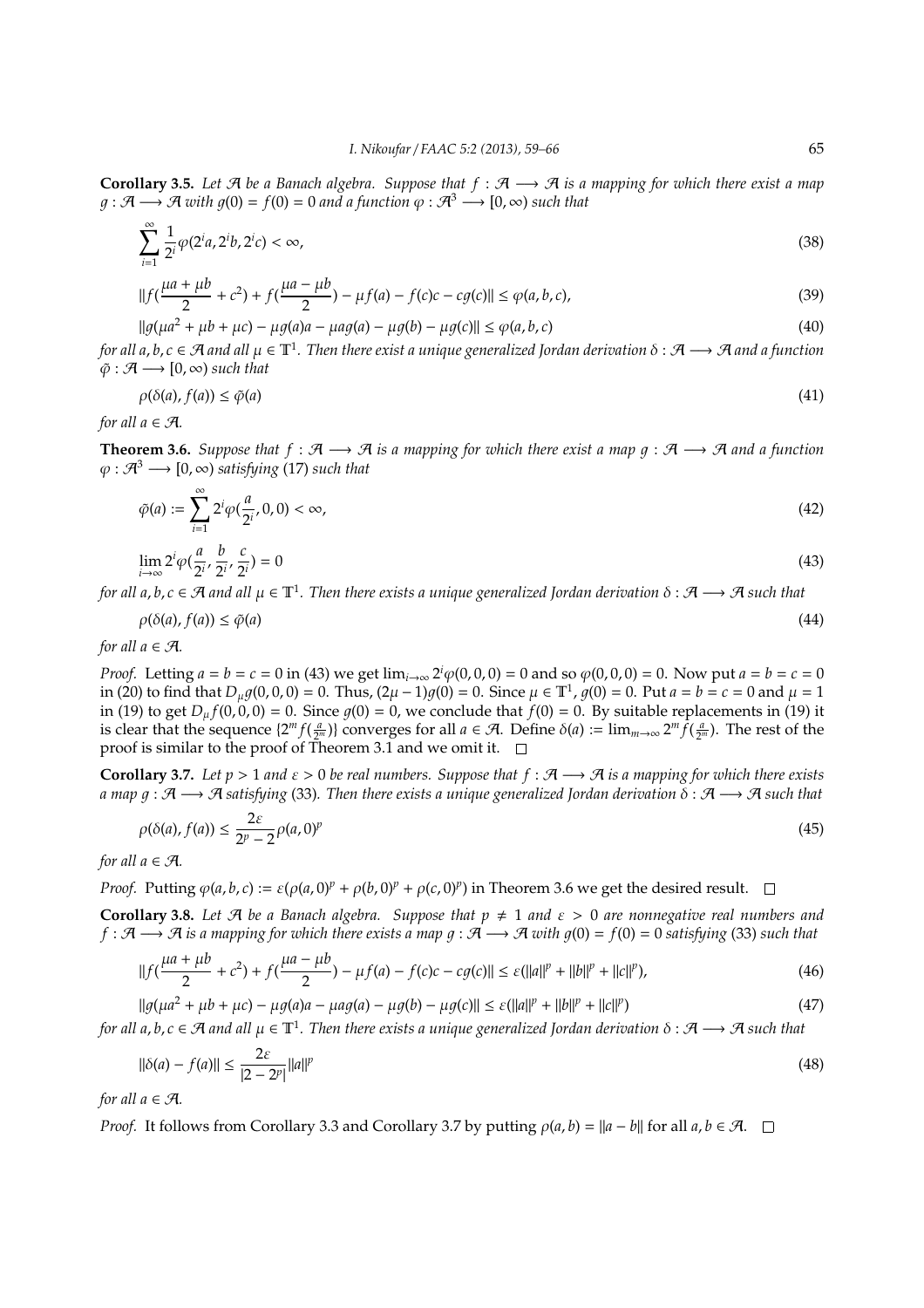**Corollary 3.5.** *Let*  $A$  *be a Banach algebra. Suppose that*  $f : A \longrightarrow A$  *is a mapping for which there exist a map*  $g : \mathcal{A} \longrightarrow \mathcal{A}$  *with*  $g(0) = f(0) = 0$  *and a function*  $\varphi : \mathcal{A}^3 \longrightarrow [0, \infty)$  *such that* 

$$
\sum_{i=1}^{\infty} \frac{1}{2^i} \varphi(2^i a, 2^i b, 2^i c) < \infty,\tag{38}
$$

$$
||f(\frac{\mu a + \mu b}{2} + c^2) + f(\frac{\mu a - \mu b}{2}) - \mu f(a) - f(c)c - cg(c)|| \le \varphi(a, b, c),
$$
\n(39)

 $||q(\mu a^2 + \mu b + \mu c) - \mu q(a)a - \mu a q(a) - \mu q(b) - \mu q(c)|| \leq \varphi(a, b, c)$  (40) *for all a*, *b*, *c* ∈ A *and all* µ ∈ T<sup>1</sup> *. Then there exist a unique generalized Jordan derivation* δ : A −→ A *and a function*  $\tilde{\varphi}: \mathcal{A} \longrightarrow [0, \infty)$  *such that* 

$$
\rho(\delta(a), f(a)) \le \tilde{\varphi}(a) \tag{41}
$$

*for all*  $a \in \mathcal{A}$ *.* 

**Theorem 3.6.** *Suppose that*  $f : \mathcal{A} \longrightarrow \mathcal{A}$  *is a mapping for which there exist a map*  $g : \mathcal{A} \longrightarrow \mathcal{A}$  *and a function*  $\varphi : \mathcal{A}^3 \longrightarrow [0, \infty)$  *satisfying* (17) *such that* 

$$
\tilde{\varphi}(a) := \sum_{i=1}^{\infty} 2^i \varphi(\frac{a}{2^i}, 0, 0) < \infty,\tag{42}
$$

$$
\lim_{i \to \infty} 2^i \varphi \left( \frac{a}{2^i}, \frac{b}{2^i}, \frac{c}{2^i} \right) = 0 \tag{43}
$$

*for all a, b, c*  $\in$   $\cal{A}$  *and all*  $\mu$   $\in$   $\mathbb{T}^1$ . Then there exists a unique generalized Jordan derivation  $\delta$  :  $\cal{A}$   $\longrightarrow$   $\cal{A}$  such that

$$
\rho(\delta(a), f(a)) \le \tilde{\varphi}(a) \tag{44}
$$

*for all*  $a \in \mathcal{A}$ *.* 

*Proof.* Letting  $a = b = c = 0$  in (43) we get  $\lim_{i \to \infty} 2^i \varphi(0, 0, 0) = 0$  and so  $\varphi(0, 0, 0) = 0$ . Now put  $a = b = c = 0$ in (20) to find that  $D_{\mu}g(0,0,0) = 0$ . Thus,  $(2\mu - 1)g(0) = 0$ . Since  $\mu \in \mathbb{T}^1$ ,  $g(0) = 0$ . Put  $a = b = c = 0$  and  $\mu = 1$ in (19) to get  $D_{\mu} f(0, 0, 0) = 0$ . Since  $g(0) = 0$ , we conclude that  $f(0) = 0$ . By suitable replacements in (19) it is clear that the sequence  $\{2^m f(\frac{a}{2^m})\}$  converges for all  $a \in \mathcal{A}$ . Define  $\delta(a) := \lim_{m \to \infty} 2^m \hat{f}(\frac{a}{2^m})$ . The rest of the proof is similar to the proof of Theorem 3.1 and we omit it.  $\square$ 

**Corollary 3.7.** Let  $p > 1$  and  $\varepsilon > 0$  be real numbers. Suppose that  $f : \mathcal{A} \longrightarrow \mathcal{A}$  is a mapping for which there exists *a map* 1 : A −→ A *satisfying* (33)*. Then there exists a unique generalized Jordan derivation* δ : A −→ A *such that*

$$
\rho(\delta(a), f(a)) \le \frac{2\varepsilon}{2^p - 2} \rho(a, 0)^p \tag{45}
$$

*for all*  $a \in \mathcal{A}$ *.* 

*Proof.* Putting  $\varphi(a, b, c) := \varepsilon(\varphi(a, 0)^p + \varphi(b, 0)^p + \varphi(c, 0)^p$  in Theorem 3.6 we get the desired result.

**Corollary 3.8.** Let  $\mathcal{A}$  be a Banach algebra. Suppose that  $p \neq 1$  and  $\varepsilon > 0$  are nonnegative real numbers and *f* :  $A$  →  $A$  *is a mapping for which there exists a map*  $g : A$  →  $A$  *with*  $g(0) = f(0) = 0$  *satisfying* (33) *such that* 

$$
||f(\frac{\mu a + \mu b}{2} + c^2) + f(\frac{\mu a - \mu b}{2}) - \mu f(a) - f(c)c - cg(c)|| \le \varepsilon (||a||^p + ||b||^p + ||c||^p),
$$
\n(46)

 $||g(\mu a^2 + \mu b + \mu c) - \mu g(a)a - \mu a g(a) - \mu g(b) - \mu g(c)|| \leq \varepsilon (||a||^p + ||b||^p + ||c||^p)$ ) (47) *for all a*, *b*, *c* ∈ A *and all* µ ∈ T<sup>1</sup> *. Then there exists a unique generalized Jordan derivation* δ : A −→ A *such that*

$$
\|\delta(a) - f(a)\| \le \frac{2\varepsilon}{|2 - 2^p|} \|a\|^p \tag{48}
$$

*for all*  $a \in \mathcal{A}$ *.* 

*Proof.* It follows from Corollary 3.3 and Corollary 3.7 by putting  $\rho(a, b) = ||a - b||$  for all  $a, b \in \mathcal{A}$ .  $\square$